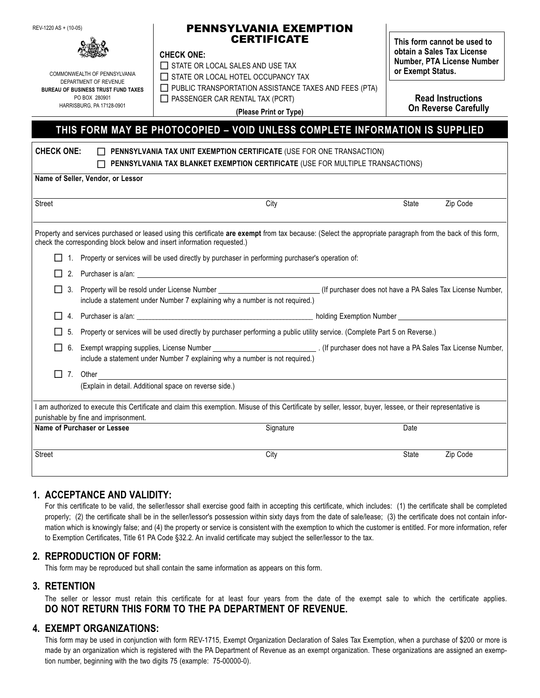REV-1220 AS + (10-05)

#### PENNSYLVANIA EXEMPTION **CERTIFICATE**

#### **CHECK ONE:**

COMMONWEALTH OF PENNSYLVANIA DEPARTMENT OF REVENUE **BUREAU OF BUSINESS TRUST FUND TAXES** PO BOX 280901 HARRISBURG, PA 17128-0901

 $\Box$  STATE OR LOCAL SALES AND USE TAX STATE OR LOCAL HOTEL OCCUPANCY TAX

**CHECK ONE: PENNSYLVANIA TAX UNIT EXEMPTION CERTIFICATE** (USE FOR ONE TRANSACTION)

 $\Box$  PUBLIC TRANSPORTATION ASSISTANCE TAXES AND FEES (PTA)

 $\Box$  PASSENGER CAR RENTAL TAX (PCRT)

**This form cannot be used to obtain a Sales Tax License Number, PTA License Number or Exempt Status.**

> **Read Instructions On Reverse Carefully**

**(Please Print or Type)**

# **THIS FORM MAY BE PHOTOCOPIED – VOID UNLESS COMPLETE INFORMATION IS SUPPLIED**

| UNEUN UNE.<br><u>II PENNOTLVANIA TAA UNIT EAEMPTIUN GERTIFIGATE (USE FUR UNE TRANSAGTIUN)</u><br>PENNSYLVANIA TAX BLANKET EXEMPTION CERTIFICATE (USE FOR MULTIPLE TRANSACTIONS) |                                                                                                                                                                                                                                       |           |              |          |  |  |  |  |
|---------------------------------------------------------------------------------------------------------------------------------------------------------------------------------|---------------------------------------------------------------------------------------------------------------------------------------------------------------------------------------------------------------------------------------|-----------|--------------|----------|--|--|--|--|
|                                                                                                                                                                                 | Name of Seller, Vendor, or Lessor                                                                                                                                                                                                     |           |              |          |  |  |  |  |
| <b>Street</b>                                                                                                                                                                   |                                                                                                                                                                                                                                       | City      | <b>State</b> | Zip Code |  |  |  |  |
|                                                                                                                                                                                 | Property and services purchased or leased using this certificate are exempt from tax because: (Select the appropriate paragraph from the back of this form,<br>check the corresponding block below and insert information requested.) |           |              |          |  |  |  |  |
|                                                                                                                                                                                 | Property or services will be used directly by purchaser in performing purchaser's operation of:<br>1.                                                                                                                                 |           |              |          |  |  |  |  |
|                                                                                                                                                                                 | 2. Purchaser is a/an: example and a series of the series of the series of the series of the series of the series of the series of the series of the series of the series of the series of the series of the series of the seri        |           |              |          |  |  |  |  |
|                                                                                                                                                                                 | 3. Property will be resold under License Number ___________________________(If purchaser does not have a PA Sales Tax License Number,<br>include a statement under Number 7 explaining why a number is not required.)                 |           |              |          |  |  |  |  |
|                                                                                                                                                                                 |                                                                                                                                                                                                                                       |           |              |          |  |  |  |  |
| 5.                                                                                                                                                                              | Property or services will be used directly by purchaser performing a public utility service. (Complete Part 5 on Reverse.)                                                                                                            |           |              |          |  |  |  |  |
| 6.<br>$\mathsf{L}$                                                                                                                                                              | include a statement under Number 7 explaining why a number is not required.)                                                                                                                                                          |           |              |          |  |  |  |  |
| $\Box$ 7. Other                                                                                                                                                                 |                                                                                                                                                                                                                                       |           |              |          |  |  |  |  |
|                                                                                                                                                                                 | (Explain in detail. Additional space on reverse side.)                                                                                                                                                                                |           |              |          |  |  |  |  |
|                                                                                                                                                                                 | I am authorized to execute this Certificate and claim this exemption. Misuse of this Certificate by seller, lessor, buyer, lessee, or their representative is<br>punishable by fine and imprisonment.                                 |           |              |          |  |  |  |  |
| Name of Purchaser or Lessee                                                                                                                                                     |                                                                                                                                                                                                                                       | Signature | Date         |          |  |  |  |  |
| <b>Street</b>                                                                                                                                                                   |                                                                                                                                                                                                                                       | City      | State        | Zip Code |  |  |  |  |

## **1. ACCEPTANCE AND VALIDITY:**

For this certificate to be valid, the seller/lessor shall exercise good faith in accepting this certificate, which includes: (1) the certificate shall be completed properly; (2) the certificate shall be in the seller/lessor's possession within sixty days from the date of sale/lease; (3) the certificate does not contain information which is knowingly false; and (4) the property or service is consistent with the exemption to which the customer is entitled. For more information, refer to Exemption Certificates, Title 61 PA Code §32.2. An invalid certificate may subject the seller/lessor to the tax.

## **2. REPRODUCTION OF FORM:**

This form may be reproduced but shall contain the same information as appears on this form.

### **3. RETENTION**

The seller or lessor must retain this certificate for at least four years from the date of the exempt sale to which the certificate applies. **DO NOT RETURN THIS FORM TO THE PA DEPARTMENT OF REVENUE.**

### **4. EXEMPT ORGANIZATIONS:**

This form may be used in conjunction with form REV-1715, Exempt Organization Declaration of Sales Tax Exemption, when a purchase of \$200 or more is made by an organization which is registered with the PA Department of Revenue as an exempt organization. These organizations are assigned an exemption number, beginning with the two digits 75 (example: 75-00000-0).